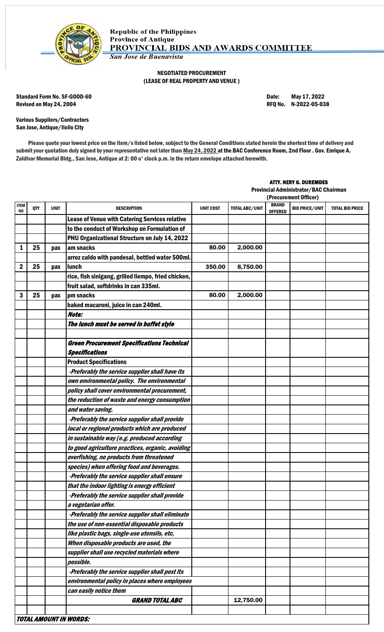

## NEGOTIATED PROCUREMENT (LEASE OF REAL PROPERTY AND VENUE )

Standard Form No. SF-GOOD-60 Date: May 17, 2022 Revised on May 24, 2004 **Review 12 and 2012** RFQ No. N-2022-05-038

Various Suppliers/Contractors San Jose, Antique/Iloilo City

Please quote your lowest price on the item/s listed below, subject to the General Conditions stated herein the shortest time of delivery and submit your quotation duly signed by your representative not later than May 24, 2022 at the BAC Conference Room, 2nd Floor . Gov. Enrique A. Zaldivar Memorial Bldg., San Jose, Antique at 2: 00 o' clock p.m. in the return envelope attached herewith.

## ATTY. NERY G. DUREMDES

Provincial Administrator/BAC Chairman

|                               |     |             |                                                     |                  |                       | (Procurement Officer)          |                       |                        |
|-------------------------------|-----|-------------|-----------------------------------------------------|------------------|-----------------------|--------------------------------|-----------------------|------------------------|
| <b>ITEM</b><br>N <sub>0</sub> | QTY | <b>UNIT</b> | <b>DESCRIPTION</b>                                  | <b>UNIT COST</b> | <b>TOTAL ABC/UNIT</b> | <b>BRAND</b><br><b>OFFERED</b> | <b>BID PRICE/UNIT</b> | <b>TOTAL BID PRICE</b> |
|                               |     |             | Lease of Venue with Catering Services relative      |                  |                       |                                |                       |                        |
|                               |     |             | to the conduct of Workshop on Formulation of        |                  |                       |                                |                       |                        |
|                               |     |             | PHU Organizational Structure on July 14, 2022       |                  |                       |                                |                       |                        |
| 1                             | 25  | pax         | am snacks                                           | 80.00            | 2,000.00              |                                |                       |                        |
|                               |     |             | arroz caldo with pandesal, bottled water 500ml.     |                  |                       |                                |                       |                        |
| $\mathbf 2$                   | 25  | pax         | <b>lunch</b>                                        | 350.00           | 8,750.00              |                                |                       |                        |
|                               |     |             | rice, fish sinigang, grilled liempo, fried chicken, |                  |                       |                                |                       |                        |
|                               |     |             | fruit salad, softdrinks in can 335ml.               |                  |                       |                                |                       |                        |
| 3                             | 25  | pax         | pm snacks                                           | 80.00            | 2,000.00              |                                |                       |                        |
|                               |     |             | baked macaroni, juice in can 240ml.                 |                  |                       |                                |                       |                        |
|                               |     |             | Note:                                               |                  |                       |                                |                       |                        |
|                               |     |             | The lunch must be served in buffet style            |                  |                       |                                |                       |                        |
|                               |     |             |                                                     |                  |                       |                                |                       |                        |
|                               |     |             | <b>Green Procurement Specifications Technical</b>   |                  |                       |                                |                       |                        |
|                               |     |             | <b>Specifications</b>                               |                  |                       |                                |                       |                        |
|                               |     |             | <b>Product Specifications</b>                       |                  |                       |                                |                       |                        |
|                               |     |             | -Preferably the service supplier shall have its     |                  |                       |                                |                       |                        |
|                               |     |             | own environmental policy. The environmental         |                  |                       |                                |                       |                        |
|                               |     |             | policy shall cover environmental procurement,       |                  |                       |                                |                       |                        |
|                               |     |             | the reduction of waste and energy consumption       |                  |                       |                                |                       |                        |
|                               |     |             | and water saving.                                   |                  |                       |                                |                       |                        |
|                               |     |             | -Preferably the service supplier shall provide      |                  |                       |                                |                       |                        |
|                               |     |             | local or regional products which are produced       |                  |                       |                                |                       |                        |
|                               |     |             | in sustainable way (e.g. produced according         |                  |                       |                                |                       |                        |
|                               |     |             | to good agriculture practices, organic, avoiding    |                  |                       |                                |                       |                        |
|                               |     |             | overfishing, no products from threatened            |                  |                       |                                |                       |                        |
|                               |     |             | species) when offering food and beverages.          |                  |                       |                                |                       |                        |
|                               |     |             | -Preferably the service supplier shall ensure       |                  |                       |                                |                       |                        |
|                               |     |             | that the indoor lighting is energy efficient        |                  |                       |                                |                       |                        |
|                               |     |             | -Preferably the service supplier shall provide      |                  |                       |                                |                       |                        |
|                               |     |             | a vegetarian offer.                                 |                  |                       |                                |                       |                        |
|                               |     |             | -Preferably the service supplier shall eliminate    |                  |                       |                                |                       |                        |
|                               |     |             | the use of non-essential disposable products        |                  |                       |                                |                       |                        |
|                               |     |             | like plastic bags, single-use utensils, etc,        |                  |                       |                                |                       |                        |
|                               |     |             | When disposable products are used, the              |                  |                       |                                |                       |                        |
|                               |     |             | supplier shall use recycled materials where         |                  |                       |                                |                       |                        |
|                               |     |             | possible.                                           |                  |                       |                                |                       |                        |
|                               |     |             | -Preferably the service supplier shall post its     |                  |                       |                                |                       |                        |
|                               |     |             | environmental policy in places where employees      |                  |                       |                                |                       |                        |
|                               |     |             | can easily notice them                              |                  |                       |                                |                       |                        |
|                               |     |             | <b>GRAND TOTAL ABC</b>                              |                  | 12,750.00             |                                |                       |                        |
|                               |     |             |                                                     |                  |                       |                                |                       |                        |
|                               |     |             | <b>TOTAL AMOUNT IN WORDS:</b>                       |                  |                       |                                |                       |                        |